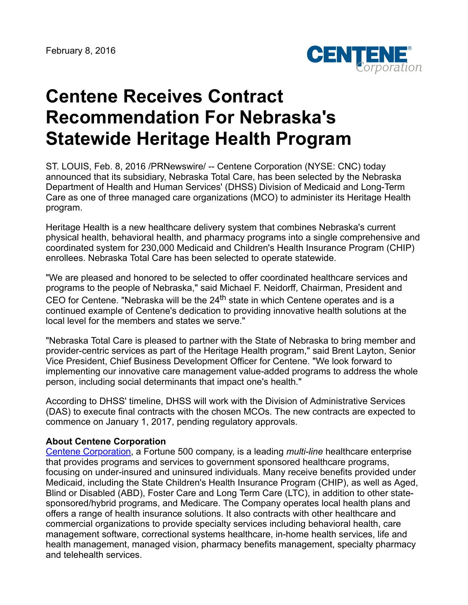

## **Centene Receives Contract Recommendation For Nebraska's Statewide Heritage Health Program**

ST. LOUIS, Feb. 8, 2016 /PRNewswire/ -- Centene Corporation (NYSE: CNC) today announced that its subsidiary, Nebraska Total Care, has been selected by the Nebraska Department of Health and Human Services' (DHSS) Division of Medicaid and Long-Term Care as one of three managed care organizations (MCO) to administer its Heritage Health program.

Heritage Health is a new healthcare delivery system that combines Nebraska's current physical health, behavioral health, and pharmacy programs into a single comprehensive and coordinated system for 230,000 Medicaid and Children's Health Insurance Program (CHIP) enrollees. Nebraska Total Care has been selected to operate statewide.

"We are pleased and honored to be selected to offer coordinated healthcare services and programs to the people of Nebraska," said Michael F. Neidorff, Chairman, President and CEO for Centene. "Nebraska will be the 24<sup>th</sup> state in which Centene operates and is a continued example of Centene's dedication to providing innovative health solutions at the local level for the members and states we serve."

"Nebraska Total Care is pleased to partner with the State of Nebraska to bring member and provider-centric services as part of the Heritage Health program," said Brent Layton, Senior Vice President, Chief Business Development Officer for Centene. "We look forward to implementing our innovative care management value-added programs to address the whole person, including social determinants that impact one's health."

According to DHSS' timeline, DHSS will work with the Division of Administrative Services (DAS) to execute final contracts with the chosen MCOs. The new contracts are expected to commence on January 1, 2017, pending regulatory approvals.

## **About Centene Corporation**

[Centene Corporation,](http://www.centene.com/) a Fortune 500 company, is a leading *multi-line* healthcare enterprise that provides programs and services to government sponsored healthcare programs, focusing on under-insured and uninsured individuals. Many receive benefits provided under Medicaid, including the State Children's Health Insurance Program (CHIP), as well as Aged, Blind or Disabled (ABD), Foster Care and Long Term Care (LTC), in addition to other statesponsored/hybrid programs, and Medicare. The Company operates local health plans and offers a range of health insurance solutions. It also contracts with other healthcare and commercial organizations to provide specialty services including behavioral health, care management software, correctional systems healthcare, in-home health services, life and health management, managed vision, pharmacy benefits management, specialty pharmacy and telehealth services.